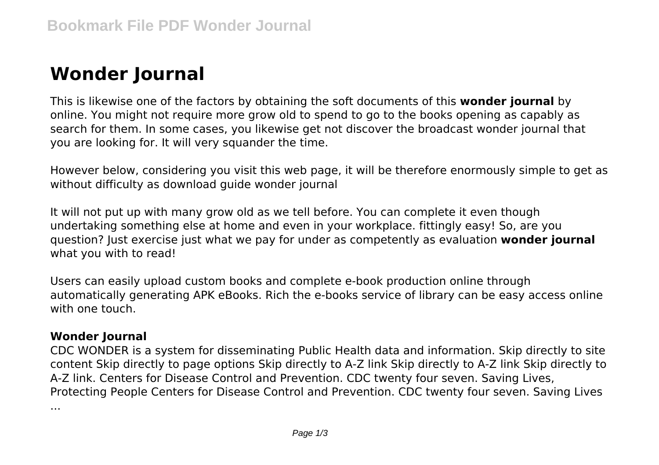# **Wonder Journal**

This is likewise one of the factors by obtaining the soft documents of this **wonder journal** by online. You might not require more grow old to spend to go to the books opening as capably as search for them. In some cases, you likewise get not discover the broadcast wonder journal that you are looking for. It will very squander the time.

However below, considering you visit this web page, it will be therefore enormously simple to get as without difficulty as download quide wonder journal

It will not put up with many grow old as we tell before. You can complete it even though undertaking something else at home and even in your workplace. fittingly easy! So, are you question? Just exercise just what we pay for under as competently as evaluation **wonder journal** what you with to read!

Users can easily upload custom books and complete e-book production online through automatically generating APK eBooks. Rich the e-books service of library can be easy access online with one touch.

# **Wonder Journal**

CDC WONDER is a system for disseminating Public Health data and information. Skip directly to site content Skip directly to page options Skip directly to A-Z link Skip directly to A-Z link Skip directly to A-Z link. Centers for Disease Control and Prevention. CDC twenty four seven. Saving Lives, Protecting People Centers for Disease Control and Prevention. CDC twenty four seven. Saving Lives ...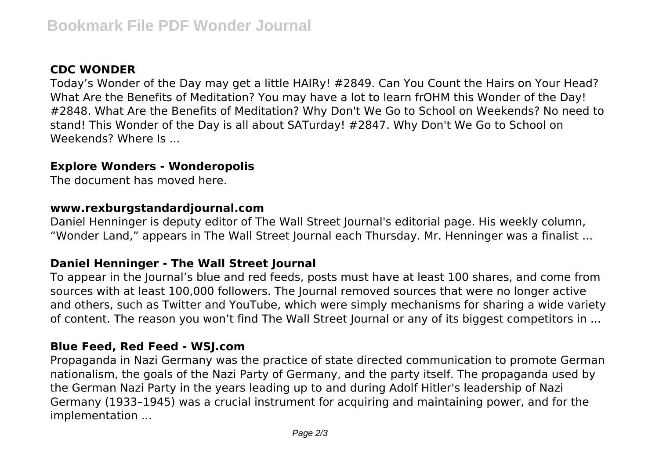# **CDC WONDER**

Today's Wonder of the Day may get a little HAIRy! #2849. Can You Count the Hairs on Your Head? What Are the Benefits of Meditation? You may have a lot to learn frOHM this Wonder of the Day! #2848. What Are the Benefits of Meditation? Why Don't We Go to School on Weekends? No need to stand! This Wonder of the Day is all about SATurday! #2847. Why Don't We Go to School on Weekends? Where Is ...

## **Explore Wonders - Wonderopolis**

The document has moved here.

#### **www.rexburgstandardjournal.com**

Daniel Henninger is deputy editor of The Wall Street Journal's editorial page. His weekly column, "Wonder Land," appears in The Wall Street Journal each Thursday. Mr. Henninger was a finalist ...

## **Daniel Henninger - The Wall Street Journal**

To appear in the Journal's blue and red feeds, posts must have at least 100 shares, and come from sources with at least 100,000 followers. The Journal removed sources that were no longer active and others, such as Twitter and YouTube, which were simply mechanisms for sharing a wide variety of content. The reason you won't find The Wall Street Journal or any of its biggest competitors in ...

## **Blue Feed, Red Feed - WSJ.com**

Propaganda in Nazi Germany was the practice of state directed communication to promote German nationalism, the goals of the Nazi Party of Germany, and the party itself. The propaganda used by the German Nazi Party in the years leading up to and during Adolf Hitler's leadership of Nazi Germany (1933–1945) was a crucial instrument for acquiring and maintaining power, and for the implementation ...